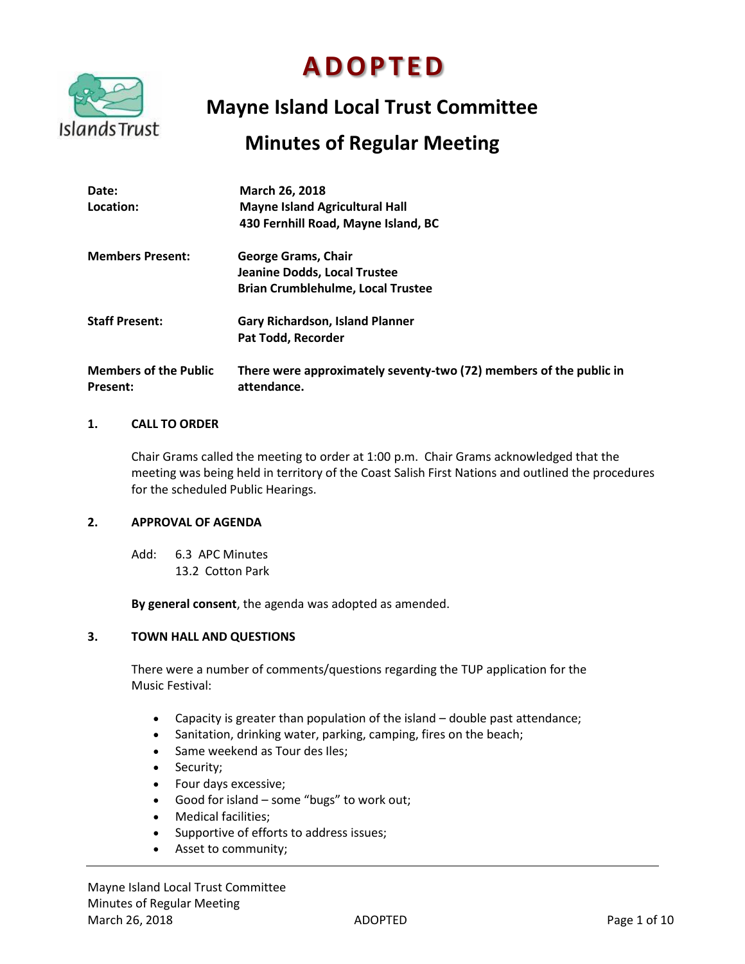

# **A D O P T E D**

# **Mayne Island Local Trust Committee**

# **Minutes of Regular Meeting**

| Date:<br>Location:                              | March 26, 2018<br><b>Mayne Island Agricultural Hall</b><br>430 Fernhill Road, Mayne Island, BC                |
|-------------------------------------------------|---------------------------------------------------------------------------------------------------------------|
| <b>Members Present:</b>                         | <b>George Grams, Chair</b><br><b>Jeanine Dodds, Local Trustee</b><br><b>Brian Crumblehulme, Local Trustee</b> |
| <b>Staff Present:</b>                           | <b>Gary Richardson, Island Planner</b><br>Pat Todd, Recorder                                                  |
| <b>Members of the Public</b><br><b>Present:</b> | There were approximately seventy-two (72) members of the public in<br>attendance.                             |

# **1. CALL TO ORDER**

Chair Grams called the meeting to order at 1:00 p.m. Chair Grams acknowledged that the meeting was being held in territory of the Coast Salish First Nations and outlined the procedures for the scheduled Public Hearings.

# **2. APPROVAL OF AGENDA**

Add: 6.3 APC Minutes 13.2 Cotton Park

**By general consent**, the agenda was adopted as amended.

# **3. TOWN HALL AND QUESTIONS**

There were a number of comments/questions regarding the TUP application for the Music Festival:

- Capacity is greater than population of the island double past attendance;
- Sanitation, drinking water, parking, camping, fires on the beach;
- Same weekend as Tour des Iles;
- Security;
- Four days excessive;
- Good for island some "bugs" to work out;
- Medical facilities;
- Supportive of efforts to address issues;
- Asset to community;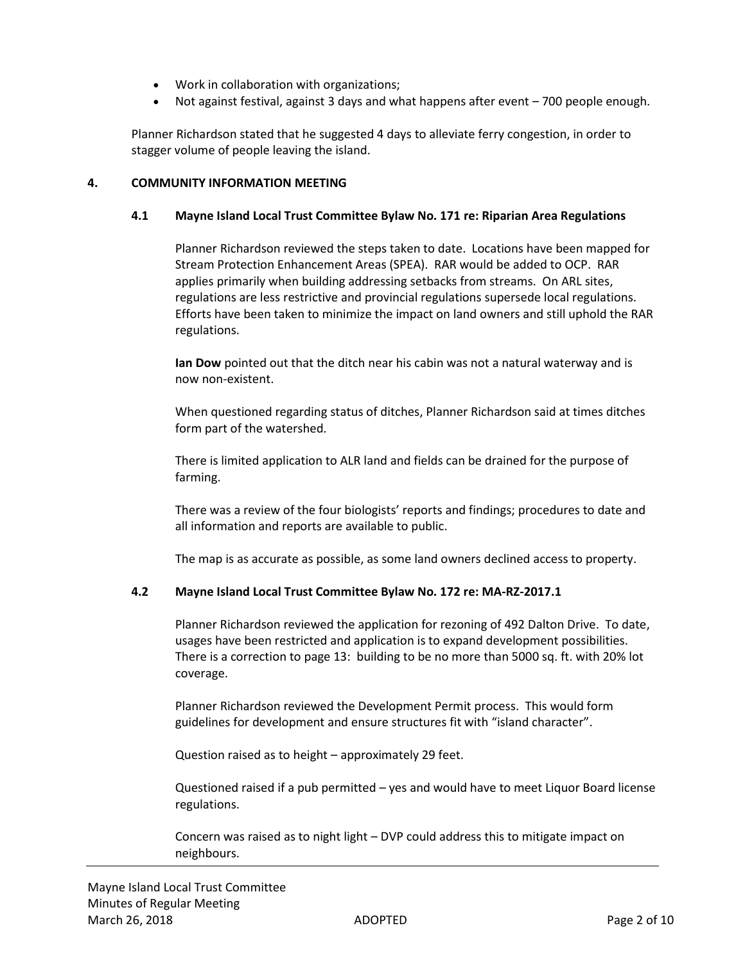- Work in collaboration with organizations;
- Not against festival, against 3 days and what happens after event 700 people enough.

Planner Richardson stated that he suggested 4 days to alleviate ferry congestion, in order to stagger volume of people leaving the island.

# **4. COMMUNITY INFORMATION MEETING**

#### **4.1 Mayne Island Local Trust Committee Bylaw No. 171 re: Riparian Area Regulations**

Planner Richardson reviewed the steps taken to date. Locations have been mapped for Stream Protection Enhancement Areas (SPEA). RAR would be added to OCP. RAR applies primarily when building addressing setbacks from streams. On ARL sites, regulations are less restrictive and provincial regulations supersede local regulations. Efforts have been taken to minimize the impact on land owners and still uphold the RAR regulations.

**Ian Dow** pointed out that the ditch near his cabin was not a natural waterway and is now non-existent.

When questioned regarding status of ditches, Planner Richardson said at times ditches form part of the watershed.

There is limited application to ALR land and fields can be drained for the purpose of farming.

There was a review of the four biologists' reports and findings; procedures to date and all information and reports are available to public.

The map is as accurate as possible, as some land owners declined access to property.

# **4.2 Mayne Island Local Trust Committee Bylaw No. 172 re: MA-RZ-2017.1**

Planner Richardson reviewed the application for rezoning of 492 Dalton Drive. To date, usages have been restricted and application is to expand development possibilities. There is a correction to page 13: building to be no more than 5000 sq. ft. with 20% lot coverage.

Planner Richardson reviewed the Development Permit process. This would form guidelines for development and ensure structures fit with "island character".

Question raised as to height – approximately 29 feet.

Questioned raised if a pub permitted – yes and would have to meet Liquor Board license regulations.

Concern was raised as to night light – DVP could address this to mitigate impact on neighbours.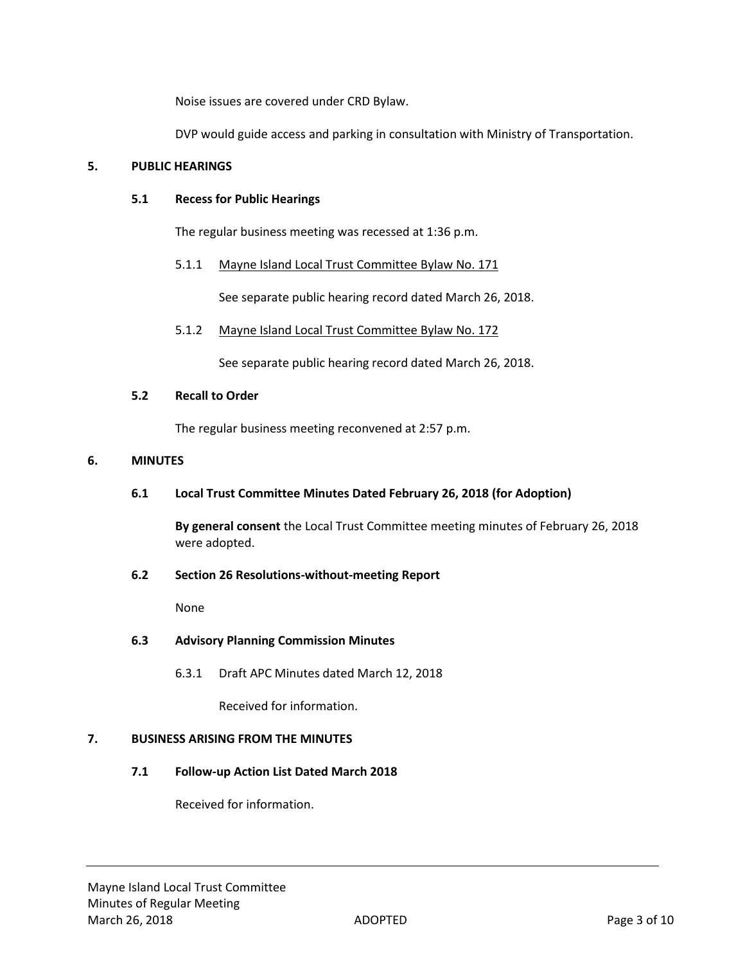Noise issues are covered under CRD Bylaw.

DVP would guide access and parking in consultation with Ministry of Transportation.

# **5. PUBLIC HEARINGS**

# **5.1 Recess for Public Hearings**

The regular business meeting was recessed at 1:36 p.m.

# 5.1.1 Mayne Island Local Trust Committee Bylaw No. 171

See separate public hearing record dated March 26, 2018.

5.1.2 Mayne Island Local Trust Committee Bylaw No. 172

See separate public hearing record dated March 26, 2018.

# **5.2 Recall to Order**

The regular business meeting reconvened at 2:57 p.m.

# **6. MINUTES**

# **6.1 Local Trust Committee Minutes Dated February 26, 2018 (for Adoption)**

**By general consent** the Local Trust Committee meeting minutes of February 26, 2018 were adopted.

# **6.2 Section 26 Resolutions-without-meeting Report**

None

# **6.3 Advisory Planning Commission Minutes**

6.3.1 Draft APC Minutes dated March 12, 2018

Received for information.

# **7. BUSINESS ARISING FROM THE MINUTES**

# **7.1 Follow-up Action List Dated March 2018**

Received for information.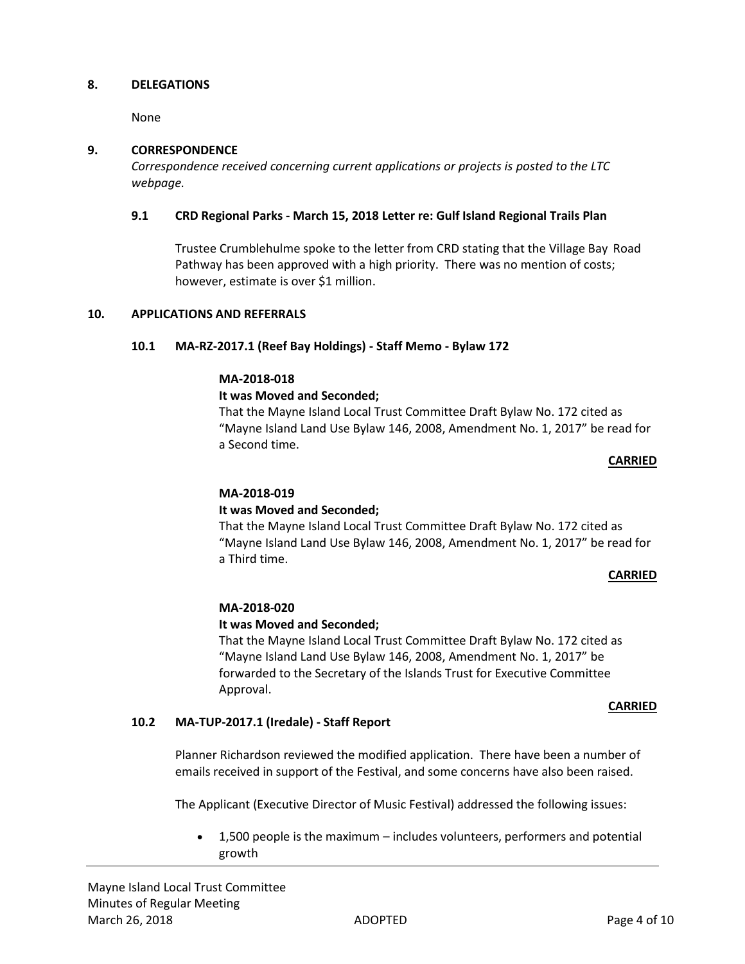#### **8. DELEGATIONS**

None

#### **9. CORRESPONDENCE**

*Correspondence received concerning current applications or projects is posted to the LTC webpage.*

#### **9.1 CRD Regional Parks - March 15, 2018 Letter re: Gulf Island Regional Trails Plan**

Trustee Crumblehulme spoke to the letter from CRD stating that the Village Bay Road Pathway has been approved with a high priority. There was no mention of costs; however, estimate is over \$1 million.

#### **10. APPLICATIONS AND REFERRALS**

#### **10.1 MA-RZ-2017.1 (Reef Bay Holdings) - Staff Memo - Bylaw 172**

#### **MA-2018-018**

#### **It was Moved and Seconded;**

That the Mayne Island Local Trust Committee Draft Bylaw No. 172 cited as "Mayne Island Land Use Bylaw 146, 2008, Amendment No. 1, 2017" be read for a Second time.

#### **CARRIED**

#### **MA-2018-019**

# **It was Moved and Seconded;**

That the Mayne Island Local Trust Committee Draft Bylaw No. 172 cited as "Mayne Island Land Use Bylaw 146, 2008, Amendment No. 1, 2017" be read for a Third time.

#### **CARRIED**

#### **MA-2018-020**

# **It was Moved and Seconded;**

That the Mayne Island Local Trust Committee Draft Bylaw No. 172 cited as "Mayne Island Land Use Bylaw 146, 2008, Amendment No. 1, 2017" be forwarded to the Secretary of the Islands Trust for Executive Committee Approval.

#### **CARRIED**

# **10.2 MA-TUP-2017.1 (Iredale) - Staff Report**

Planner Richardson reviewed the modified application. There have been a number of emails received in support of the Festival, and some concerns have also been raised.

The Applicant (Executive Director of Music Festival) addressed the following issues:

 1,500 people is the maximum – includes volunteers, performers and potential growth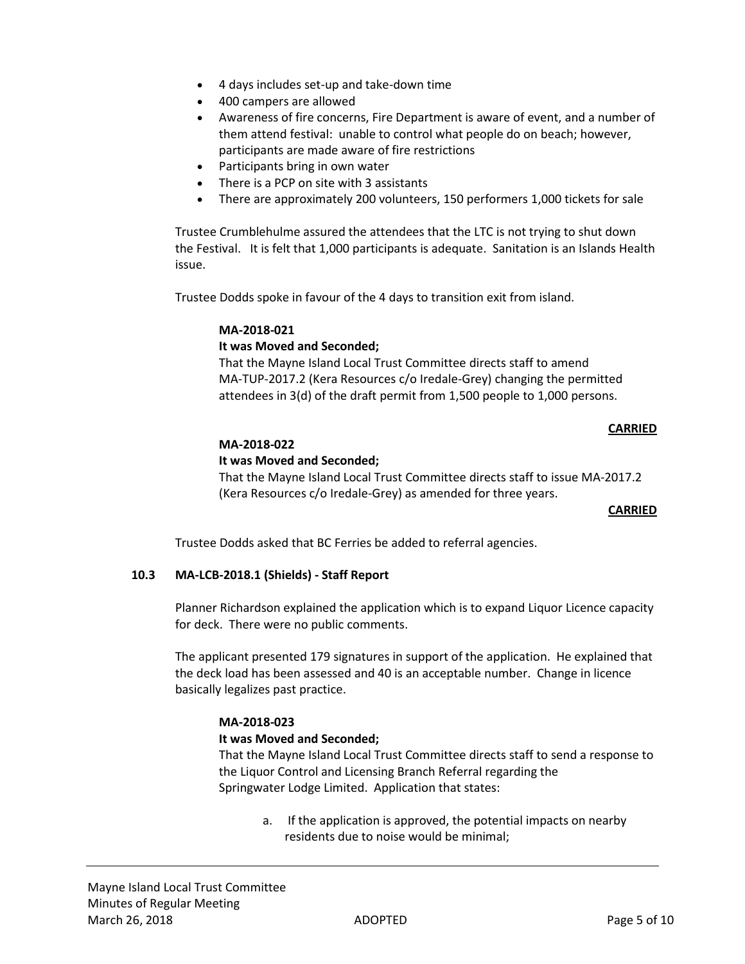- 4 days includes set-up and take-down time
- 400 campers are allowed
- Awareness of fire concerns, Fire Department is aware of event, and a number of them attend festival: unable to control what people do on beach; however, participants are made aware of fire restrictions
- Participants bring in own water
- There is a PCP on site with 3 assistants
- There are approximately 200 volunteers, 150 performers 1,000 tickets for sale

Trustee Crumblehulme assured the attendees that the LTC is not trying to shut down the Festival. It is felt that 1,000 participants is adequate. Sanitation is an Islands Health issue.

Trustee Dodds spoke in favour of the 4 days to transition exit from island.

#### **MA-2018-021**

# **It was Moved and Seconded;**

That the Mayne Island Local Trust Committee directs staff to amend MA-TUP-2017.2 (Kera Resources c/o Iredale-Grey) changing the permitted attendees in 3(d) of the draft permit from 1,500 people to 1,000 persons.

#### **CARRIED**

# **MA-2018-022**

#### **It was Moved and Seconded;**

That the Mayne Island Local Trust Committee directs staff to issue MA-2017.2 (Kera Resources c/o Iredale-Grey) as amended for three years.

#### **CARRIED**

Trustee Dodds asked that BC Ferries be added to referral agencies.

# **10.3 MA-LCB-2018.1 (Shields) - Staff Report**

Planner Richardson explained the application which is to expand Liquor Licence capacity for deck. There were no public comments.

The applicant presented 179 signatures in support of the application. He explained that the deck load has been assessed and 40 is an acceptable number. Change in licence basically legalizes past practice.

# **MA-2018-023**

#### **It was Moved and Seconded;**

That the Mayne Island Local Trust Committee directs staff to send a response to the Liquor Control and Licensing Branch Referral regarding the Springwater Lodge Limited. Application that states:

a. If the application is approved, the potential impacts on nearby residents due to noise would be minimal;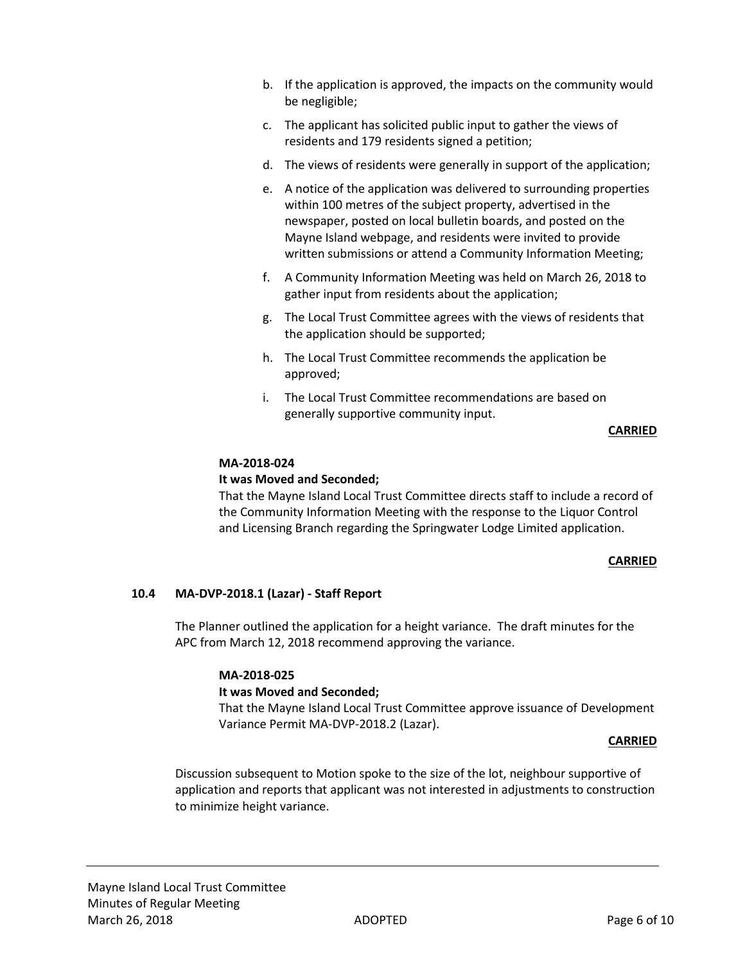- b. If the application is approved, the impacts on the community would be negligible;
- c. The applicant has solicited public input to gather the views of residents and 179 residents signed a petition;
- d. The views of residents were generally in support of the application;
- e. A notice of the application was delivered to surrounding properties within 100 metres of the subject property, advertised in the newspaper, posted on local bulletin boards, and posted on the Mayne Island webpage, and residents were invited to provide written submissions or attend a Community Information Meeting;
- f. A Community Information Meeting was held on March 26, 2018 to gather input from residents about the application;
- g. The Local Trust Committee agrees with the views of residents that the application should be supported;
- h. The Local Trust Committee recommends the application be approved;
- i. The Local Trust Committee recommendations are based on generally supportive community input.

#### **CARRIED**

#### **MA-2018-024**

#### **It was Moved and Seconded;**

That the Mayne Island Local Trust Committee directs staff to include a record of the Community Information Meeting with the response to the Liquor Control and Licensing Branch regarding the Springwater Lodge Limited application.

#### **CARRIED**

# **10.4 MA-DVP-2018.1 (Lazar) - Staff Report**

The Planner outlined the application for a height variance. The draft minutes for the APC from March 12, 2018 recommend approving the variance.

#### **MA-2018-025**

# **It was Moved and Seconded;**

That the Mayne Island Local Trust Committee approve issuance of Development Variance Permit MA-DVP-2018.2 (Lazar).

#### **CARRIED**

Discussion subsequent to Motion spoke to the size of the lot, neighbour supportive of application and reports that applicant was not interested in adjustments to construction to minimize height variance.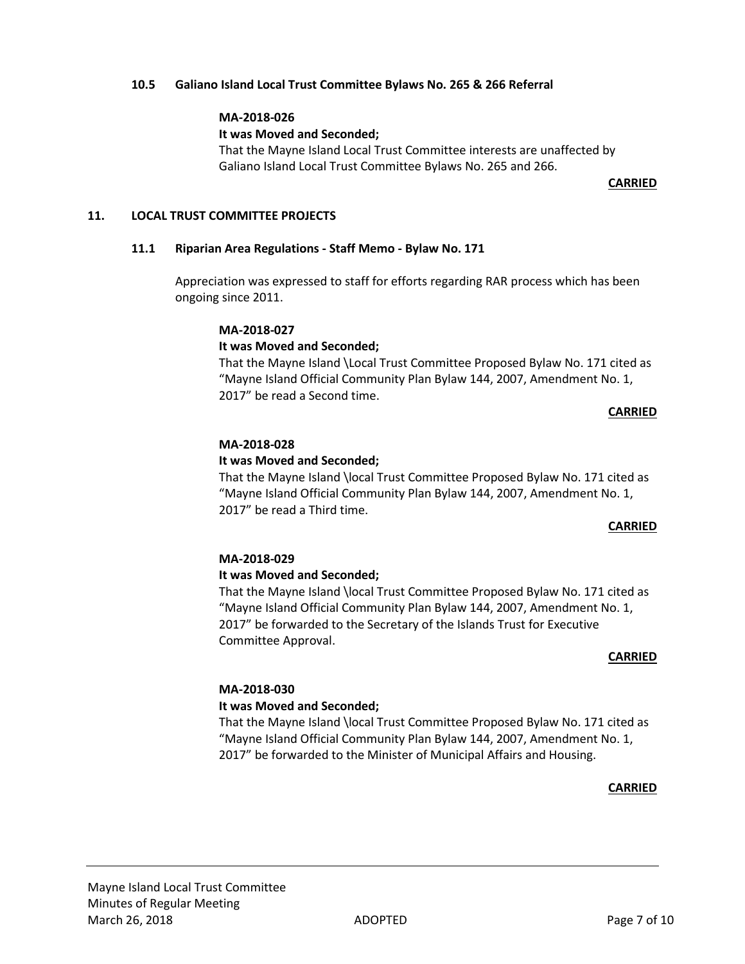#### **10.5 Galiano Island Local Trust Committee Bylaws No. 265 & 266 Referral**

#### **MA-2018-026**

#### **It was Moved and Seconded;**

That the Mayne Island Local Trust Committee interests are unaffected by Galiano Island Local Trust Committee Bylaws No. 265 and 266.

#### **CARRIED**

#### **11. LOCAL TRUST COMMITTEE PROJECTS**

#### **11.1 Riparian Area Regulations - Staff Memo - Bylaw No. 171**

Appreciation was expressed to staff for efforts regarding RAR process which has been ongoing since 2011.

#### **MA-2018-027**

# **It was Moved and Seconded;**

That the Mayne Island \Local Trust Committee Proposed Bylaw No. 171 cited as "Mayne Island Official Community Plan Bylaw 144, 2007, Amendment No. 1, 2017" be read a Second time.

#### **CARRIED**

#### **MA-2018-028**

# **It was Moved and Seconded;**

That the Mayne Island \local Trust Committee Proposed Bylaw No. 171 cited as "Mayne Island Official Community Plan Bylaw 144, 2007, Amendment No. 1, 2017" be read a Third time.

# **CARRIED**

# **MA-2018-029**

# **It was Moved and Seconded;**

That the Mayne Island \local Trust Committee Proposed Bylaw No. 171 cited as "Mayne Island Official Community Plan Bylaw 144, 2007, Amendment No. 1, 2017" be forwarded to the Secretary of the Islands Trust for Executive Committee Approval.

#### **CARRIED**

# **MA-2018-030**

# **It was Moved and Seconded;**

That the Mayne Island \local Trust Committee Proposed Bylaw No. 171 cited as "Mayne Island Official Community Plan Bylaw 144, 2007, Amendment No. 1, 2017" be forwarded to the Minister of Municipal Affairs and Housing.

#### **CARRIED**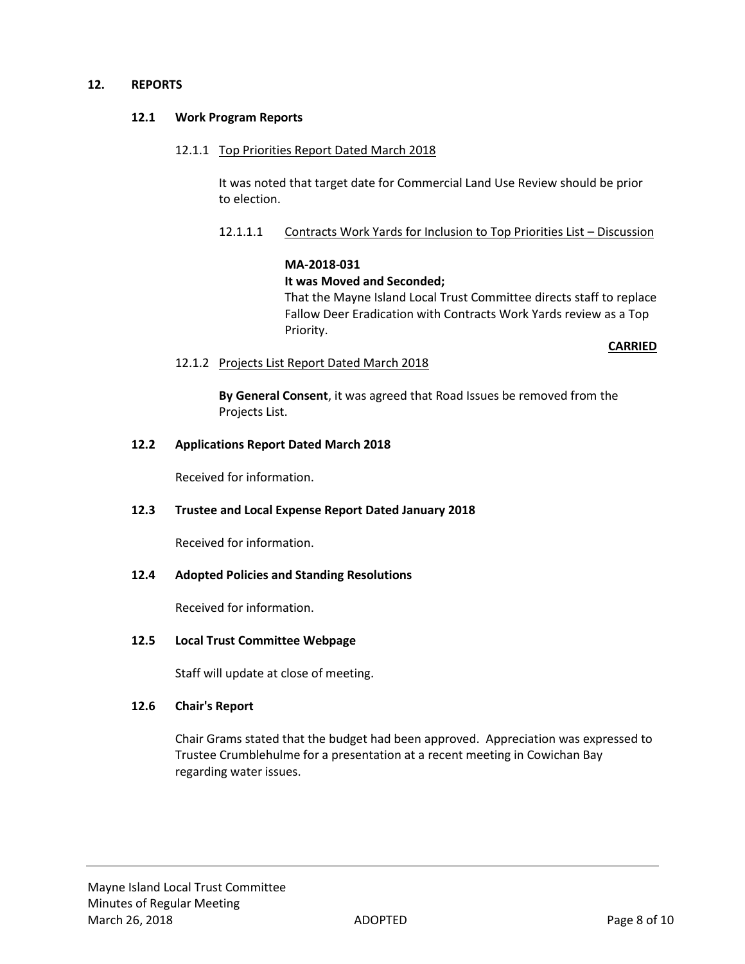#### **12. REPORTS**

#### **12.1 Work Program Reports**

#### 12.1.1 Top Priorities Report Dated March 2018

It was noted that target date for Commercial Land Use Review should be prior to election.

#### 12.1.1.1 Contracts Work Yards for Inclusion to Top Priorities List – Discussion

#### **MA-2018-031**

#### **It was Moved and Seconded;**

That the Mayne Island Local Trust Committee directs staff to replace Fallow Deer Eradication with Contracts Work Yards review as a Top Priority.

**CARRIED**

#### 12.1.2 Projects List Report Dated March 2018

**By General Consent**, it was agreed that Road Issues be removed from the Projects List.

#### **12.2 Applications Report Dated March 2018**

Received for information.

# **12.3 Trustee and Local Expense Report Dated January 2018**

Received for information.

# **12.4 Adopted Policies and Standing Resolutions**

Received for information.

# **12.5 Local Trust Committee Webpage**

Staff will update at close of meeting.

#### **12.6 Chair's Report**

Chair Grams stated that the budget had been approved. Appreciation was expressed to Trustee Crumblehulme for a presentation at a recent meeting in Cowichan Bay regarding water issues.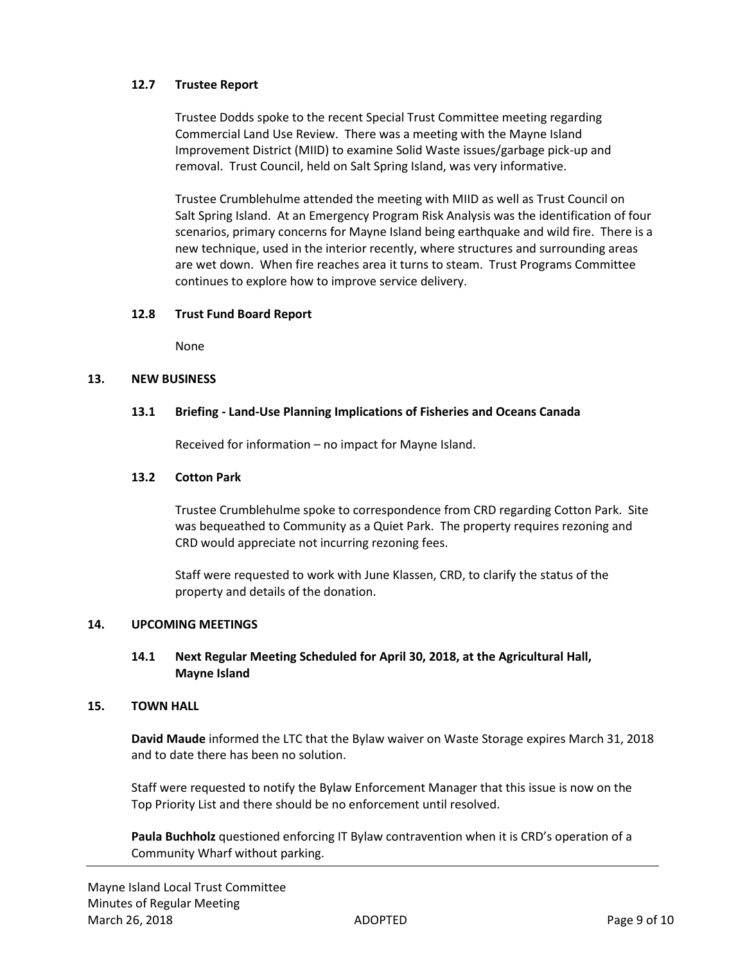# **12.7 Trustee Report**

Trustee Dodds spoke to the recent Special Trust Committee meeting regarding Commercial Land Use Review. There was a meeting with the Mayne Island Improvement District (MIID) to examine Solid Waste issues/garbage pick-up and removal. Trust Council, held on Salt Spring Island, was very informative.

Trustee Crumblehulme attended the meeting with MIID as well as Trust Council on Salt Spring Island. At an Emergency Program Risk Analysis was the identification of four scenarios, primary concerns for Mayne Island being earthquake and wild fire. There is a new technique, used in the interior recently, where structures and surrounding areas are wet down. When fire reaches area it turns to steam. Trust Programs Committee continues to explore how to improve service delivery.

# **12.8 Trust Fund Board Report**

None

# **13. NEW BUSINESS**

# **13.1 Briefing - Land-Use Planning Implications of Fisheries and Oceans Canada**

Received for information – no impact for Mayne Island.

# **13.2 Cotton Park**

Trustee Crumblehulme spoke to correspondence from CRD regarding Cotton Park. Site was bequeathed to Community as a Quiet Park. The property requires rezoning and CRD would appreciate not incurring rezoning fees.

Staff were requested to work with June Klassen, CRD, to clarify the status of the property and details of the donation.

# **14. UPCOMING MEETINGS**

# **14.1 Next Regular Meeting Scheduled for April 30, 2018, at the Agricultural Hall, Mayne Island**

# **15. TOWN HALL**

**David Maude** informed the LTC that the Bylaw waiver on Waste Storage expires March 31, 2018 and to date there has been no solution.

Staff were requested to notify the Bylaw Enforcement Manager that this issue is now on the Top Priority List and there should be no enforcement until resolved.

**Paula Buchholz** questioned enforcing IT Bylaw contravention when it is CRD's operation of a Community Wharf without parking.